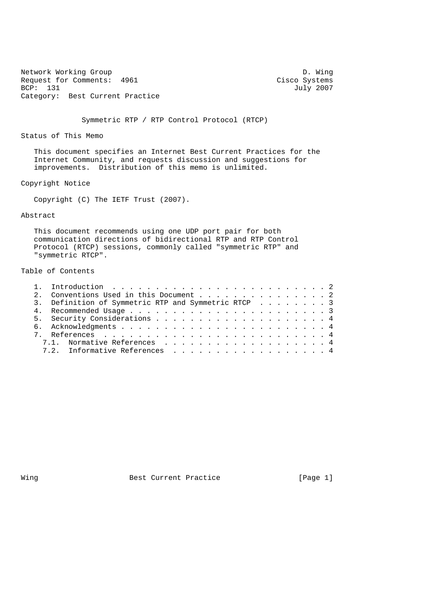Network Working Group D. Wing<br>Request for Comments: 4961 Cisco Systems Request for Comments: 4961<br>BCP: 131 Category: Best Current Practice

July 2007

Symmetric RTP / RTP Control Protocol (RTCP)

Status of This Memo

 This document specifies an Internet Best Current Practices for the Internet Community, and requests discussion and suggestions for improvements. Distribution of this memo is unlimited.

Copyright Notice

Copyright (C) The IETF Trust (2007).

### Abstract

 This document recommends using one UDP port pair for both communication directions of bidirectional RTP and RTP Control Protocol (RTCP) sessions, commonly called "symmetric RTP" and "symmetric RTCP".

# Table of Contents

|  | 2. Conventions Used in this Document 2              |  |
|--|-----------------------------------------------------|--|
|  | 3. Definition of Symmetric RTP and Symmetric RTCP 3 |  |
|  |                                                     |  |
|  |                                                     |  |
|  |                                                     |  |
|  |                                                     |  |
|  | 7.1. Normative References 4                         |  |
|  | 7.2. Informative References 4                       |  |
|  |                                                     |  |

Wing Best Current Practice [Page 1]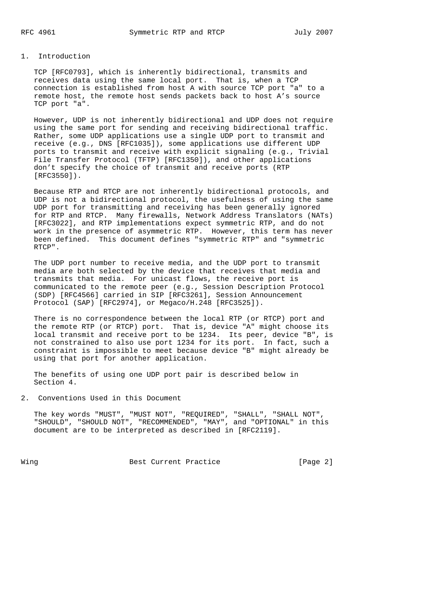#### 1. Introduction

 TCP [RFC0793], which is inherently bidirectional, transmits and receives data using the same local port. That is, when a TCP connection is established from host A with source TCP port "a" to a remote host, the remote host sends packets back to host A's source TCP port "a".

 However, UDP is not inherently bidirectional and UDP does not require using the same port for sending and receiving bidirectional traffic. Rather, some UDP applications use a single UDP port to transmit and receive (e.g., DNS [RFC1035]), some applications use different UDP ports to transmit and receive with explicit signaling (e.g., Trivial File Transfer Protocol (TFTP) [RFC1350]), and other applications don't specify the choice of transmit and receive ports (RTP [RFC3550]).

 Because RTP and RTCP are not inherently bidirectional protocols, and UDP is not a bidirectional protocol, the usefulness of using the same UDP port for transmitting and receiving has been generally ignored for RTP and RTCP. Many firewalls, Network Address Translators (NATs) [RFC3022], and RTP implementations expect symmetric RTP, and do not work in the presence of asymmetric RTP. However, this term has never been defined. This document defines "symmetric RTP" and "symmetric RTCP".

 The UDP port number to receive media, and the UDP port to transmit media are both selected by the device that receives that media and transmits that media. For unicast flows, the receive port is communicated to the remote peer (e.g., Session Description Protocol (SDP) [RFC4566] carried in SIP [RFC3261], Session Announcement Protocol (SAP) [RFC2974], or Megaco/H.248 [RFC3525]).

 There is no correspondence between the local RTP (or RTCP) port and the remote RTP (or RTCP) port. That is, device "A" might choose its local transmit and receive port to be 1234. Its peer, device "B", is not constrained to also use port 1234 for its port. In fact, such a constraint is impossible to meet because device "B" might already be using that port for another application.

 The benefits of using one UDP port pair is described below in Section 4.

2. Conventions Used in this Document

 The key words "MUST", "MUST NOT", "REQUIRED", "SHALL", "SHALL NOT", "SHOULD", "SHOULD NOT", "RECOMMENDED", "MAY", and "OPTIONAL" in this document are to be interpreted as described in [RFC2119].

Wing **Best Current Practice** [Page 2]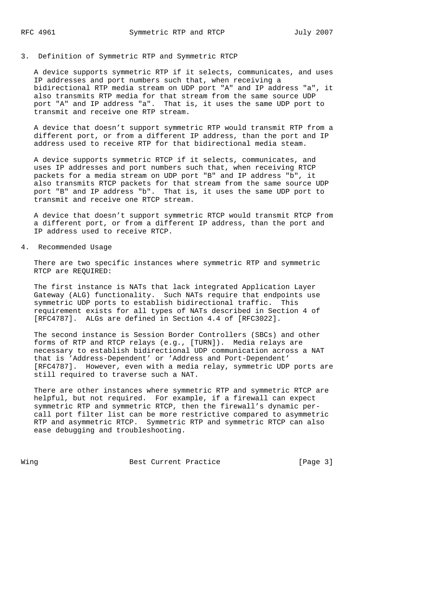### 3. Definition of Symmetric RTP and Symmetric RTCP

 A device supports symmetric RTP if it selects, communicates, and uses IP addresses and port numbers such that, when receiving a bidirectional RTP media stream on UDP port "A" and IP address "a", it also transmits RTP media for that stream from the same source UDP port "A" and IP address "a". That is, it uses the same UDP port to transmit and receive one RTP stream.

 A device that doesn't support symmetric RTP would transmit RTP from a different port, or from a different IP address, than the port and IP address used to receive RTP for that bidirectional media steam.

 A device supports symmetric RTCP if it selects, communicates, and uses IP addresses and port numbers such that, when receiving RTCP packets for a media stream on UDP port "B" and IP address "b", it also transmits RTCP packets for that stream from the same source UDP port "B" and IP address "b". That is, it uses the same UDP port to transmit and receive one RTCP stream.

 A device that doesn't support symmetric RTCP would transmit RTCP from a different port, or from a different IP address, than the port and IP address used to receive RTCP.

#### 4. Recommended Usage

 There are two specific instances where symmetric RTP and symmetric RTCP are REQUIRED:

 The first instance is NATs that lack integrated Application Layer Gateway (ALG) functionality. Such NATs require that endpoints use symmetric UDP ports to establish bidirectional traffic. This requirement exists for all types of NATs described in Section 4 of [RFC4787]. ALGs are defined in Section 4.4 of [RFC3022].

 The second instance is Session Border Controllers (SBCs) and other forms of RTP and RTCP relays (e.g., [TURN]). Media relays are necessary to establish bidirectional UDP communication across a NAT that is 'Address-Dependent' or 'Address and Port-Dependent' [RFC4787]. However, even with a media relay, symmetric UDP ports are still required to traverse such a NAT.

 There are other instances where symmetric RTP and symmetric RTCP are helpful, but not required. For example, if a firewall can expect symmetric RTP and symmetric RTCP, then the firewall's dynamic per call port filter list can be more restrictive compared to asymmetric RTP and asymmetric RTCP. Symmetric RTP and symmetric RTCP can also ease debugging and troubleshooting.

Wing **Best Current Practice** [Page 3]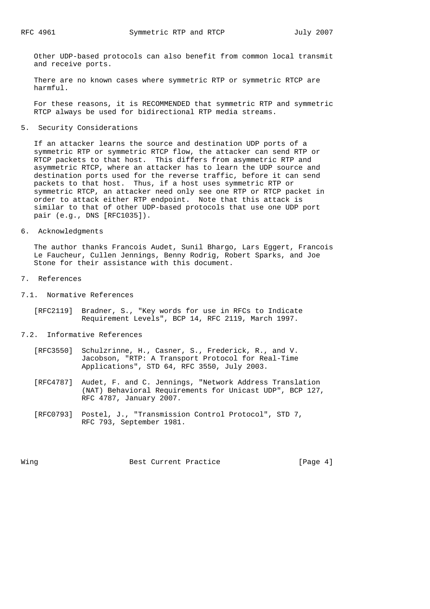Other UDP-based protocols can also benefit from common local transmit and receive ports.

 There are no known cases where symmetric RTP or symmetric RTCP are harmful.

 For these reasons, it is RECOMMENDED that symmetric RTP and symmetric RTCP always be used for bidirectional RTP media streams.

5. Security Considerations

 If an attacker learns the source and destination UDP ports of a symmetric RTP or symmetric RTCP flow, the attacker can send RTP or RTCP packets to that host. This differs from asymmetric RTP and asymmetric RTCP, where an attacker has to learn the UDP source and destination ports used for the reverse traffic, before it can send packets to that host. Thus, if a host uses symmetric RTP or symmetric RTCP, an attacker need only see one RTP or RTCP packet in order to attack either RTP endpoint. Note that this attack is similar to that of other UDP-based protocols that use one UDP port pair (e.g., DNS [RFC1035]).

6. Acknowledgments

 The author thanks Francois Audet, Sunil Bhargo, Lars Eggert, Francois Le Faucheur, Cullen Jennings, Benny Rodrig, Robert Sparks, and Joe Stone for their assistance with this document.

- 7. References
- 7.1. Normative References
	- [RFC2119] Bradner, S., "Key words for use in RFCs to Indicate Requirement Levels", BCP 14, RFC 2119, March 1997.
- 7.2. Informative References
	- [RFC3550] Schulzrinne, H., Casner, S., Frederick, R., and V. Jacobson, "RTP: A Transport Protocol for Real-Time Applications", STD 64, RFC 3550, July 2003.
	- [RFC4787] Audet, F. and C. Jennings, "Network Address Translation (NAT) Behavioral Requirements for Unicast UDP", BCP 127, RFC 4787, January 2007.
	- [RFC0793] Postel, J., "Transmission Control Protocol", STD 7, RFC 793, September 1981.

Wing **Best Current Practice** [Page 4]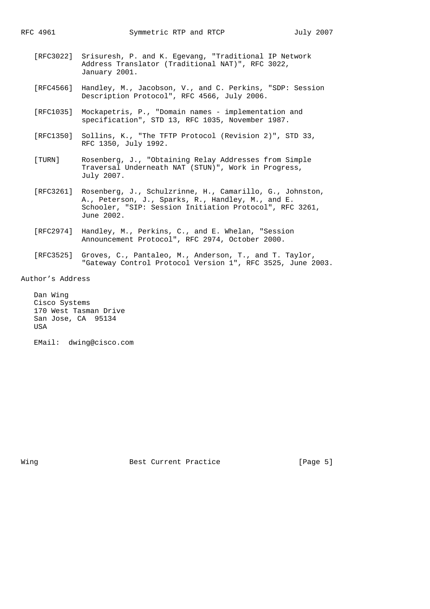- [RFC3022] Srisuresh, P. and K. Egevang, "Traditional IP Network Address Translator (Traditional NAT)", RFC 3022, January 2001.
- [RFC4566] Handley, M., Jacobson, V., and C. Perkins, "SDP: Session Description Protocol", RFC 4566, July 2006.
- [RFC1035] Mockapetris, P., "Domain names implementation and specification", STD 13, RFC 1035, November 1987.
- [RFC1350] Sollins, K., "The TFTP Protocol (Revision 2)", STD 33, RFC 1350, July 1992.
- [TURN] Rosenberg, J., "Obtaining Relay Addresses from Simple Traversal Underneath NAT (STUN)", Work in Progress, July 2007.
- [RFC3261] Rosenberg, J., Schulzrinne, H., Camarillo, G., Johnston, A., Peterson, J., Sparks, R., Handley, M., and E. Schooler, "SIP: Session Initiation Protocol", RFC 3261, June 2002.
- [RFC2974] Handley, M., Perkins, C., and E. Whelan, "Session Announcement Protocol", RFC 2974, October 2000.
- [RFC3525] Groves, C., Pantaleo, M., Anderson, T., and T. Taylor, "Gateway Control Protocol Version 1", RFC 3525, June 2003.

Author's Address

 Dan Wing Cisco Systems 170 West Tasman Drive San Jose, CA 95134 USA

EMail: dwing@cisco.com

Wing **Best Current Practice** [Page 5]